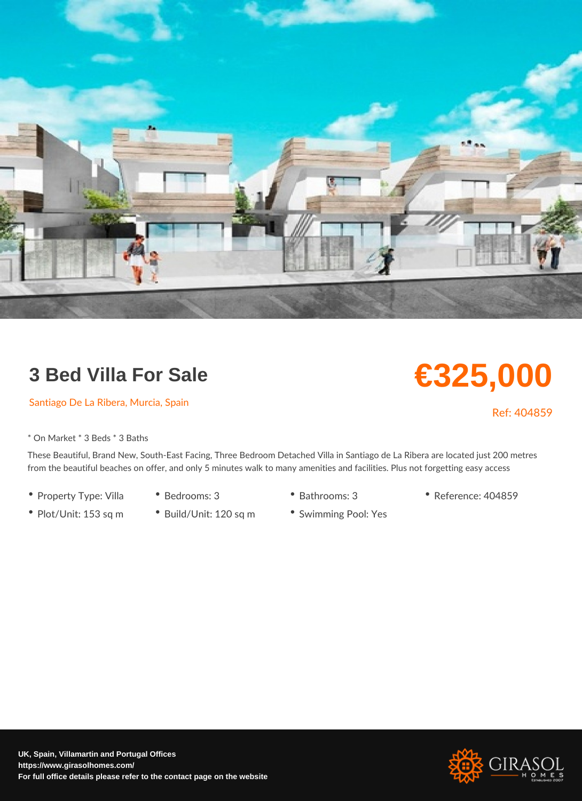## 3 Bed Villa For Sale

## Santiago De La Ribera, Murcia, Spain

\* On Market \* 3 Beds \* 3 Baths

These Beautiful, Brand New, South-East Facing, Three Bedroom Detached Villa in Santia from the beautiful beaches on offer, and only 5 minutes walk to many amenities and fac

- Property Type: VilBaedrooms: 3 Bathrooms: 3 Reference: 404859
- Plot/Unit: 153 sq<sup>o</sup> mBuild/Unit: 120 sq<sup>o</sup> n8 wimming Pool: Yes

€325,000

Ref: 404859